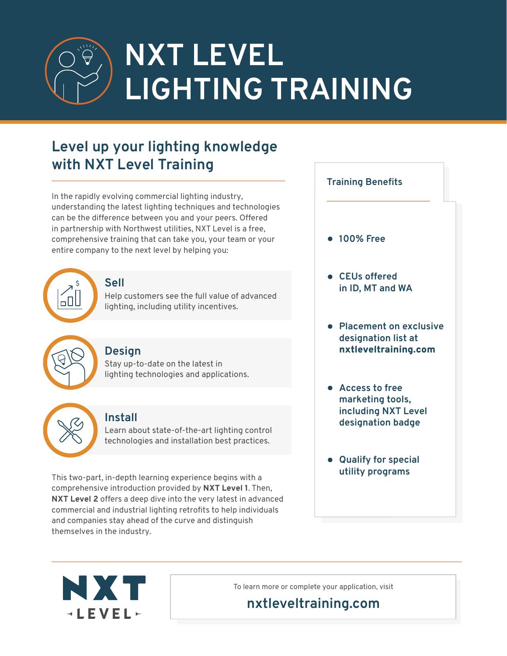# **NXT LEVEL LIGHTING TRAINING**

## **Level up your lighting knowledge with NXT Level Training**

In the rapidly evolving commercial lighting industry, understanding the latest lighting techniques and technologies can be the difference between you and your peers. Offered in partnership with Northwest utilities, NXT Level is a free, comprehensive training that can take you, your team or your entire company to the next level by helping you:



### \$ **Sell**

Help customers see the full value of advanced lighting, including utility incentives.



### **Design**

Stay up-to-date on the latest in lighting technologies and applications.



### **Install**

Learn about state-of-the-art lighting control technologies and installation best practices.

This two-part, in-depth learning experience begins with a comprehensive introduction provided by **NXT Level 1**. Then, **NXT Level 2** offers a deep dive into the very latest in advanced commercial and industrial lighting retrofits to help individuals and companies stay ahead of the curve and distinguish themselves in the industry.



- **Access to free marketing tools, including NXT Level designation badge**
- **Qualify for special utility programs**

NXT **ALEVEL** 

To learn more or complete your application, visit

### **nxtleveltraining.com**